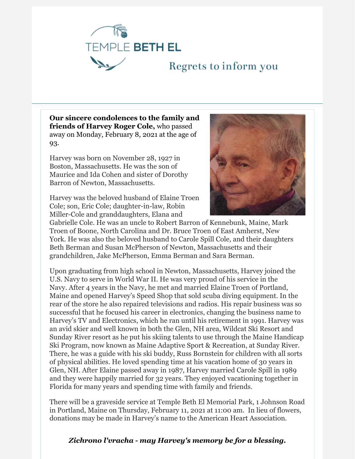

## Regrets to inform you

**Our sincere condolences to the family and friends of Harvey Roger Cole,** who passed away on Monday, February 8, 2021 at the age of 93.

Harvey was born on November 28, 1927 in Boston, Massachusetts. He was the son of Maurice and Ida Cohen and sister of Dorothy Barron of Newton, Massachusetts.

Harvey was the beloved husband of Elaine Troen Cole; son, Eric Cole; daughter-in-law, Robin Miller-Cole and granddaughters, Elana and



Gabrielle Cole. He was an uncle to Robert Barron of Kennebunk, Maine, Mark Troen of Boone, North Carolina and Dr. Bruce Troen of East Amherst, New York. He was also the beloved husband to Carole Spill Cole, and their daughters Beth Berman and Susan McPherson of Newton, Massachusetts and their grandchildren, Jake McPherson, Emma Berman and Sara Berman.

Upon graduating from high school in Newton, Massachusetts, Harvey joined the U.S. Navy to serve in World War II. He was very proud of his service in the Navy. After 4 years in the Navy, he met and married Elaine Troen of Portland, Maine and opened Harvey's Speed Shop that sold scuba diving equipment. In the rear of the store he also repaired televisions and radios. His repair business was so successful that he focused his career in electronics, changing the business name to Harvey's TV and Electronics, which he ran until his retirement in 1991. Harvey was an avid skier and well known in both the Glen, NH area, Wildcat Ski Resort and Sunday River resort as he put his skiing talents to use through the Maine Handicap Ski Program, now known as Maine Adaptive Sport & Recreation, at Sunday River. There, he was a guide with his ski buddy, Russ Bornstein for children with all sorts of physical abilities. He loved spending time at his vacation home of 30 years in Glen, NH. After Elaine passed away in 1987, Harvey married Carole Spill in 1989 and they were happily married for 32 years. They enjoyed vacationing together in Florida for many years and spending time with family and friends.

There will be a graveside service at Temple Beth El Memorial Park, 1 Johnson Road in Portland, Maine on Thursday, February 11, 2021 at 11:00 am. In lieu of flowers, donations may be made in Harvey's name to the American Heart Association.

## *Zichrono l'vracha - may Harvey's memory be for a blessing.*